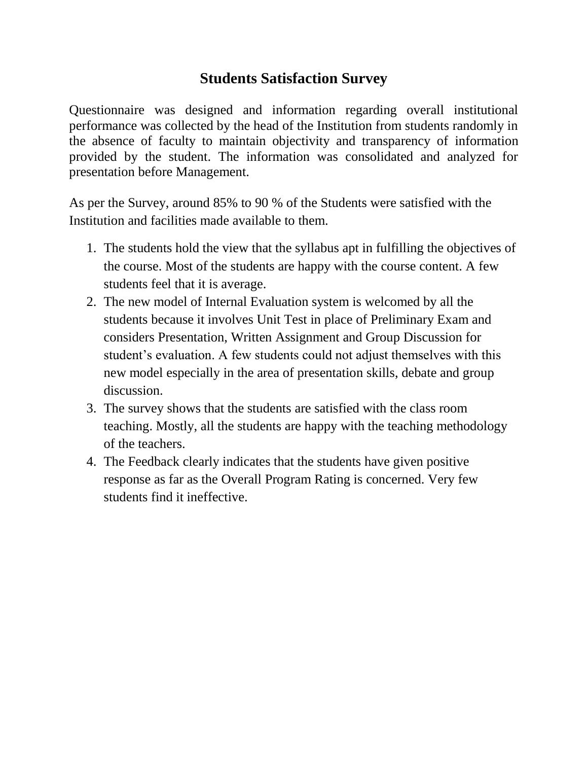## **Students Satisfaction Survey**

Questionnaire was designed and information regarding overall institutional performance was collected by the head of the Institution from students randomly in the absence of faculty to maintain objectivity and transparency of information provided by the student. The information was consolidated and analyzed for presentation before Management.

As per the Survey, around 85% to 90 % of the Students were satisfied with the Institution and facilities made available to them.

- 1. The students hold the view that the syllabus apt in fulfilling the objectives of the course. Most of the students are happy with the course content. A few students feel that it is average.
- 2. The new model of Internal Evaluation system is welcomed by all the students because it involves Unit Test in place of Preliminary Exam and considers Presentation, Written Assignment and Group Discussion for student's evaluation. A few students could not adjust themselves with this new model especially in the area of presentation skills, debate and group discussion.
- 3. The survey shows that the students are satisfied with the class room teaching. Mostly, all the students are happy with the teaching methodology of the teachers.
- 4. The Feedback clearly indicates that the students have given positive response as far as the Overall Program Rating is concerned. Very few students find it ineffective.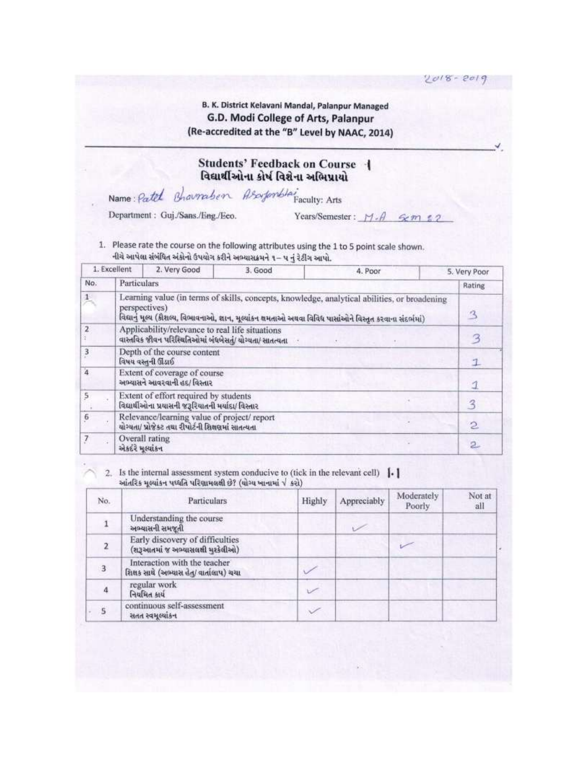$2018 - 2019$ 

#### B. K. District Kelavani Mandal, Palanpur Managed G.D. Modi College of Arts, Palanpur (Re-accredited at the "B" Level by NAAC, 2014)

#### Students' Feedback on Course -વિદ્યાર્થીઓના કોર્ષ વિશેના અભિપ્રાયો

Name: Patch Bharraben Asortomblai Faculty: Arts

Department: Guj./Sans./Eng./Eeo.

Years/Semester:  $M - A$   $\leq m$   $\leq 2$ 

1. Please rate the course on the following attributes using the 1 to 5 point scale shown. નીચે આપેલા સંબંધિત અંકોનો ઉપયોગ કરીને અભ્યાસક્રમને ૧– ૫ નું રેટીંગ આપો.

|                | 1. Excellent                                                                                                                                                                                                               | 2. Very Good                                                                                                | 3. Good | 4. Poor | 5. Very Poor   |
|----------------|----------------------------------------------------------------------------------------------------------------------------------------------------------------------------------------------------------------------------|-------------------------------------------------------------------------------------------------------------|---------|---------|----------------|
| No.            | Particulars                                                                                                                                                                                                                |                                                                                                             |         |         | Rating         |
| $1\,$          | Learning value (in terms of skills, concepts, knowledge, analytical abilities, or broadening<br>perspectives)<br>વિદ્યાનું મૂલ્ય (કૌશલ્ય, વિભાવનાઓ, જ્ઞાન, મૂલ્યાંકન ક્ષમતાઓ અથવા વિવિધ પાસાંઓને વિસ્તૃત કરવાના સંદર્ભમાં) |                                                                                                             |         |         |                |
| $\overline{2}$ |                                                                                                                                                                                                                            | Applicability/relevance to real life situations<br>વાસ્તવિક જીવન પરિસ્થિતિઓમાં બંધબેસતું/ યોગ્યતા/ સાતત્યતા |         |         | 3              |
| $_{\rm 3}$     |                                                                                                                                                                                                                            | Depth of the course content<br>વિષય વસ્તુની ઊંડાઈ                                                           |         |         | $\mathbf{I}$   |
| $\overline{4}$ |                                                                                                                                                                                                                            | Extent of coverage of course<br>અભ્યાસને આવરવાની હદ/ વિસ્તાર                                                |         |         |                |
| $\mathsf{S}$   |                                                                                                                                                                                                                            | Extent of effort required by students<br>વિદ્યાર્થીઓના પ્રયાસની જરૂરિયાતની મર્યાદા/ વિસ્તાર                 |         |         | 3              |
| $\overline{6}$ |                                                                                                                                                                                                                            | Relevance/learning value of project/report<br>યોગ્યતા/ પ્રોજેક્ટ તથા રીપોર્ટની શિક્ષણમાં સાતત્યતા           |         |         | $\mathbf{2}$   |
| $\overline{7}$ | એકદંરે મુલ્યાંકન                                                                                                                                                                                                           | Overall rating                                                                                              |         |         | $\overline{2}$ |

2. Is the internal assessment system conducive to (tick in the relevant cell)  $\left\{ \cdot \right\}$ આંતરિક મલ્યાંકન પઘ્ધતિ પરિણામલક્ષી છે? (યોગ્ય ખાનામાં √ કરો)

| No.                     | Particulars                                                              | Highly | Appreciably | Moderately<br>Poorly. | Not at<br>all |
|-------------------------|--------------------------------------------------------------------------|--------|-------------|-----------------------|---------------|
|                         | Understanding the course<br>અબ્યાસની સમજૂતી                              |        |             |                       |               |
| 2                       | Early discovery of difficulties<br>(શરૂઆતમાં જ અભ્યાસલક્ષી મુશ્કેલીઓ)    |        |             |                       |               |
| 3                       | Interaction with the teacher<br>શિક્ષક સાથે (અભ્યાસ હેતુ/ વાર્તાલાપ) ચચા |        |             |                       |               |
| 4                       | regular work<br>नियमित क्षय                                              |        |             |                       |               |
| $\overline{\mathbf{5}}$ | continuous self-assessment<br>સતત સ્વમૂલ્યાંકન                           |        |             |                       |               |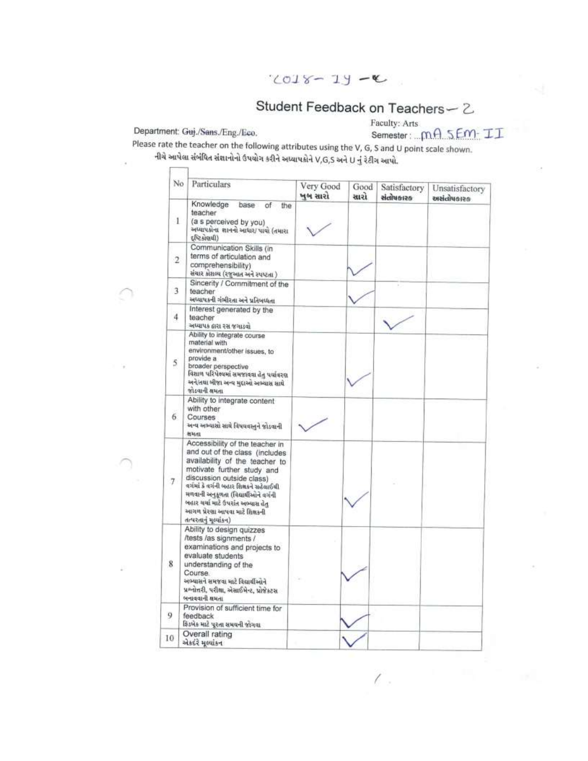$2018 - 19 - C$ 

# Student Feedback on Teachers - 2

Department: Guj./Sans./Eng./Eco.

 $\Box$ 

Faculty: Arts Semester: mA SEM-II

Please rate the teacher on the following attributes using the V, G, S and U point scale shown. નીચે આપેલા સંબંધિત સંજ્ઞાનોનો ઉપયોગ કરીને અધ્યાપકોને V,G,S અને U નું રેટીગ આપો.

| No             | Particulars                                                                                                                                                                                                                                                                                                                                          | Very Good<br>ખબ સારો | Good<br>સારો | Satisfactory<br>સંતોષકારક | Unsatisfactory<br>esterfolste |
|----------------|------------------------------------------------------------------------------------------------------------------------------------------------------------------------------------------------------------------------------------------------------------------------------------------------------------------------------------------------------|----------------------|--------------|---------------------------|-------------------------------|
| $\mathbf{1}$   | Knowledge<br>base<br>of<br>the<br>teacher<br>(a s perceived by you)<br>અઘ્યાપકોના શાનનો આધાર/ પાયો (તમારા<br>$($ llegia $\leq 13$                                                                                                                                                                                                                    |                      |              |                           |                               |
| $^{2}$         | Communication Skills (in<br>terms of articulation and<br>comprehensibility)<br>સંચાર કોશબ્ધ (રજુઆત અને સ્પષ્ટતા )                                                                                                                                                                                                                                    |                      |              |                           |                               |
| 3              | Sincerity / Commitment of the<br>teacher<br>અધ્યાપકની ગંભીરતા અને પ્રતિબધ્ધતા                                                                                                                                                                                                                                                                        |                      |              |                           |                               |
| 4              | Interest generated by the<br>teacher<br>અધ્યાપક ઠારા રસ જગાડવાં                                                                                                                                                                                                                                                                                      |                      |              |                           |                               |
| 5              | Ability to integrate course<br>material with<br>environment/other issues, to<br>provide a<br>broader perspective<br>વિશાળ પરિપેક્ષ્યમાં સમજાવવા હેતુ પર્યાવરણ<br>અને/તથા બીજા અન્વ મુદ્દાઓ અભ્યાસ સાથે<br>જોડવાની સમતા                                                                                                                               |                      |              |                           |                               |
| 6.             | Ability to integrate content<br>with other<br>Courses<br>અન્ય અભ્યાસો સાથે વિષયવસ્તુને જોડવાની<br><b>RHAL</b>                                                                                                                                                                                                                                        |                      |              |                           |                               |
| $\overline{7}$ | Accessibility of the teacher in<br>and out of the class (includes<br>availability of the teacher to<br>motivate further study and<br>discussion outside class)<br>વર્ગમાં કે વર્ગની બહાર શિક્ષકને સહેલાઈથી<br>મળવાની અનુકૂળતા (વિદ્યાર્થીઓને વર્ગની<br>બહાર ચર્ચા માટે ઉપરાંત અભ્યાસ હેતુ<br>આગળ પ્રેરણા આપવા માટે શિક્ષકની<br>તત્પરતાનું મુલ્યાંકન) |                      |              |                           |                               |
| 8              | Ability to design quizzes<br>/tests /as signments /<br>examinations and projects to<br>evaluate students<br>understanding of the<br>Course<br>અભ્યાસને સમજવા માટે વિદ્યાર્થીઓને<br>પ્રશ્નોત્તરી, પરીક્ષા, એસાઈમેન્ટ, પ્રોજેક્ટસ<br>બનાવવાની શમતા                                                                                                     |                      |              |                           |                               |
| 9              | Provision of sufficient time for<br>feedback<br>કિડબેક માટે પુરતા સમયની જોગવા                                                                                                                                                                                                                                                                        |                      |              |                           |                               |
| 10             | Overall rating<br>એકદરે મુલ્યાંકન                                                                                                                                                                                                                                                                                                                    |                      |              |                           |                               |

 $\overline{\mathcal{E}}$  .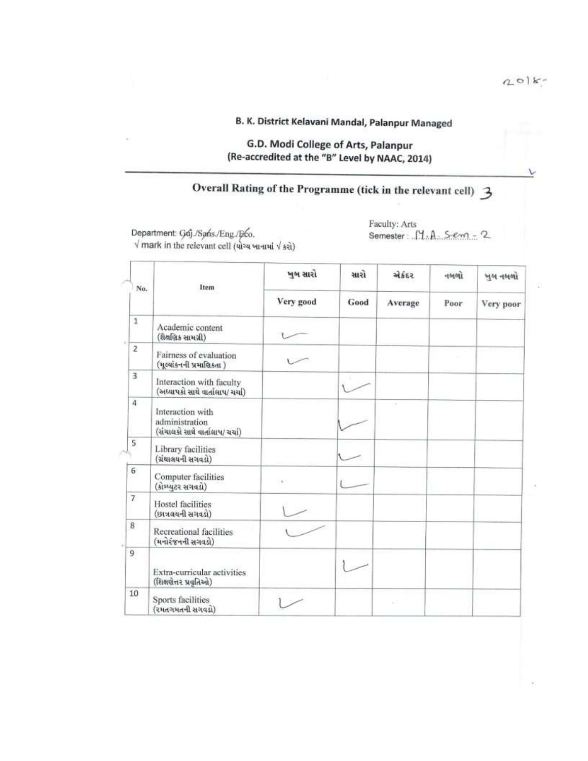$\backslash$ 

### B. K. District Kelavani Mandal, Palanpur Managed

### G.D. Modi College of Arts, Palanpur (Re-accredited at the "B" Level by NAAC, 2014)

# Overall Rating of the Programme (tick in the relevant cell) 3

Department: Goj./Sans./Eng./Επρ.<br>
V mark in the relevant cell (ચોગ્ય ખાનામાં V કરો)

Faculty: Arts Semester: M.A. Sem - 2

|                         | Item                                                                  | ખૂબ સારો  | સારો | એકંદર   | 10101 | ખૂબ નબળો  |
|-------------------------|-----------------------------------------------------------------------|-----------|------|---------|-------|-----------|
| No.                     |                                                                       | Very good | Good | Average | Poor  | Very poor |
| $\,$ $\,$               | Academic content<br>(શૈક્ષણિક સામગ્રી)                                |           |      |         |       |           |
| $\overline{z}$          | Fairness of evaluation<br>(મૂલ્યાંકનની પ્રમાણિકતા)                    |           |      |         |       |           |
| $\overline{\mathbf{3}}$ | Interaction with faculty<br>(અધ્યાપકો સાથે વાર્તાલાપ/ ચર્ચા)          |           |      |         |       |           |
| 4                       | Interaction with<br>administration<br>(સંચાલકો સાથે વાર્તાલાપ/ ચર્ચા) |           |      |         |       |           |
| 5                       | Library facilities<br>(ગ્રંથાલયની સગવડો)                              |           |      |         |       |           |
| 6                       | Computer facilities<br>(કોમ્પ્યુટર સગવડો)                             | $(1 + 1)$ |      |         |       |           |
| $\overline{7}$          | Hostel facilities<br>(છાત્રલયની સગવડો)                                |           |      |         |       |           |
| 8                       | Recreational facilities<br>(મનોરંજનની સગવડો)                          |           |      |         |       |           |
| 9                       | Extra-curricular activities<br>(શિક્ષણેત્તર પ્રવૃતિઓ)                 |           |      |         |       |           |
| 10                      | Sports facilities<br>(રમતગમતની સગવડો)                                 |           |      |         |       |           |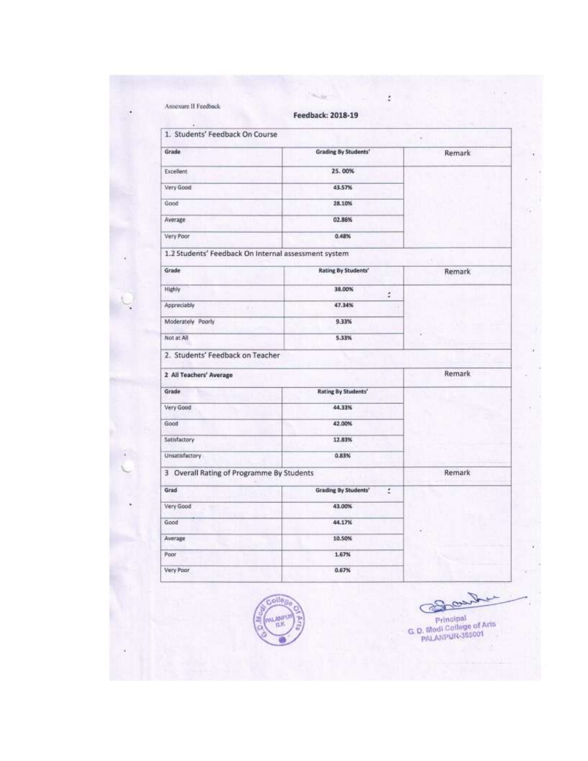| 1. Students' Feedback On Course                      |                                   | ï             |
|------------------------------------------------------|-----------------------------------|---------------|
| Grade                                                | <b>Grading By Students'</b>       | <b>Remark</b> |
| Excellent                                            | 25.00%                            |               |
| Very Good                                            | 43.57%                            |               |
| Good                                                 | 28.10%                            |               |
| Average                                              | 02.86%                            |               |
| Very Poor                                            | 0.48%                             |               |
| 1.2 Students' Feedback On Internal assessment system |                                   |               |
| Grade                                                | <b>Rating By Students'</b>        | Remark        |
| Highly                                               | 38.00%<br>÷                       |               |
| Appreciably                                          | 47.34%                            |               |
| Moderately Poorly                                    | 9.33%                             |               |
| Not at All                                           | 5.33%                             |               |
| 2. Students' Feedback on Teacher                     |                                   |               |
| 2 All Teachers' Average                              |                                   | <b>Remark</b> |
| Grade                                                | <b>Rating By Students'</b>        |               |
| Very Good                                            | 44.33%                            |               |
| Good                                                 | 42.00%                            |               |
| Satisfactory                                         | 12.83%                            |               |
| Unsatisfactory                                       | 0.83%                             |               |
| 3 Overall Rating of Programme By Students            |                                   | Remark        |
| Grad                                                 | <b>Grading By Students'</b><br>ċ. |               |
| Very Good                                            | 43.00%                            |               |
| Good                                                 | 44.17%                            |               |
| Average                                              | 10.50%                            |               |
| Poor                                                 | 1.67%                             |               |



Banker Principal<br>G. D. Modi College of Arts<br>PALANPUR-365001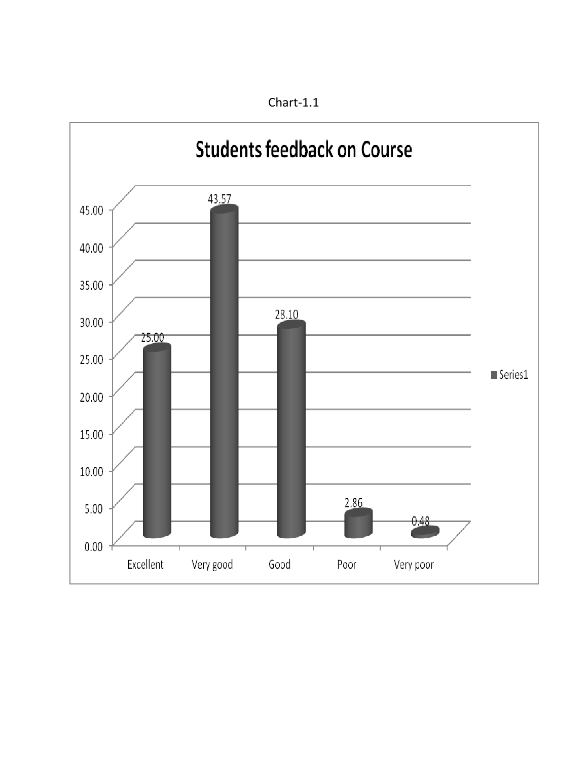

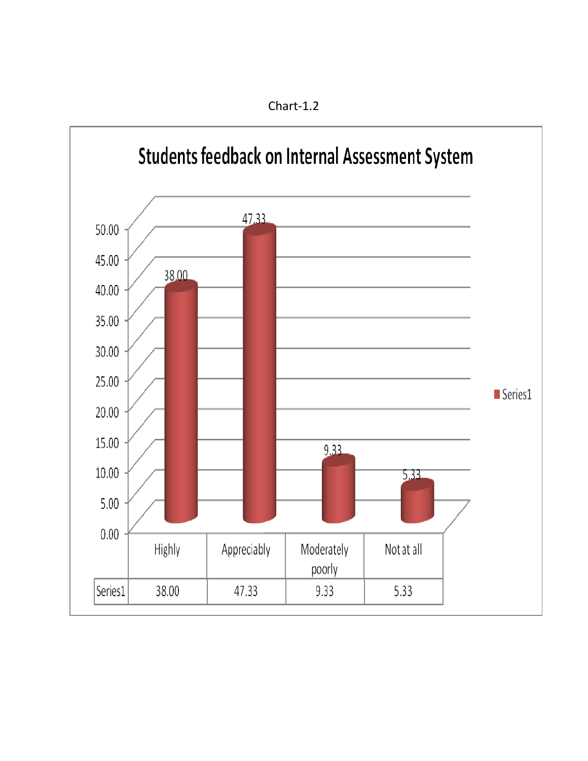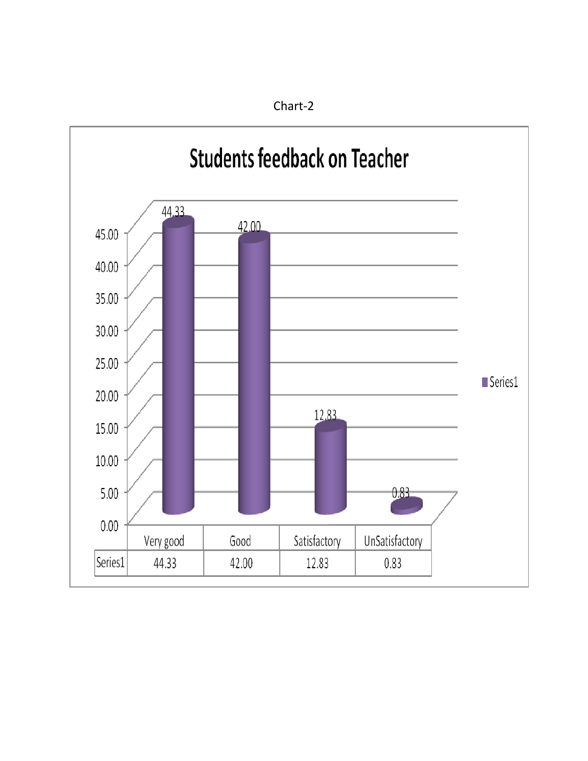